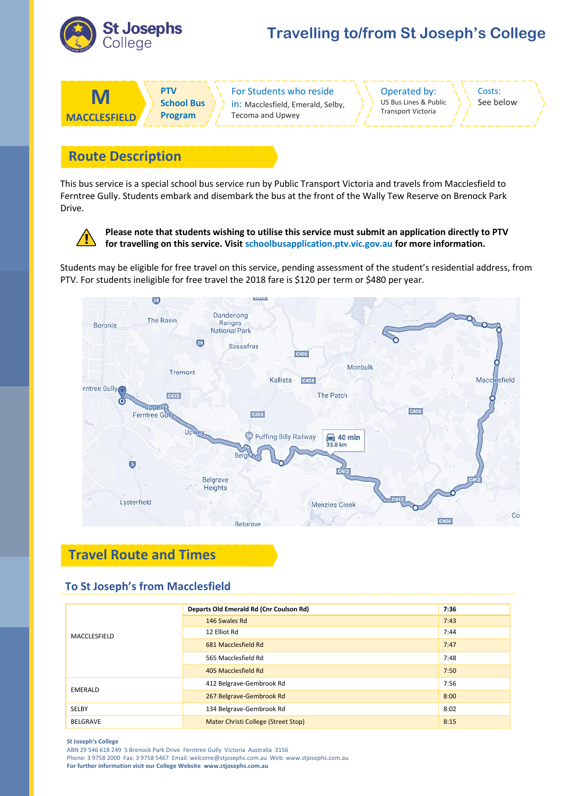

# **Travelling to/from St Joseph's College**

| M                   | DTV               | <b>For Students who reside</b>    | Operated by:              | Costs:    |
|---------------------|-------------------|-----------------------------------|---------------------------|-----------|
|                     | <b>School Bus</b> | in: Macclesfield, Emerald, Selby, | US Bus Lines & Public     | See below |
| <b>MACCLESFIFID</b> | <b>Program</b>    | Tecoma and Upwey                  | <b>Transport Victoria</b> |           |

### **Route Description**

This bus service is a special school bus service run by Public Transport Victoria and travels from Macclesfield to Ferntree Gully. Students embark and disembark the bus at the front of the Wally Tew Reserve on Brenock Park Drive.



**Please note that students wishing to utilise this service must submit an application directly to PTV for travelling on this service. Visit schoolbusapplication.ptv.vic.gov.au for more information.**

Students may be eligible for free travel on this service, pending assessment of the student's residential address, from PTV. For students ineligible for free travel the 2018 fare is \$120 per term or \$480 per year.



## **Travel Route and Times**

#### **To St Joseph's from Macclesfield**

| MACCLESFIELD    | Departs Old Emerald Rd (Cnr Coulson Rd) | 7:36 |
|-----------------|-----------------------------------------|------|
|                 | 146 Swales Rd                           | 7:43 |
|                 | 12 Elliot Rd                            | 7:44 |
|                 | 681 Macclesfield Rd                     | 7:47 |
|                 | 565 Macclesfield Rd                     | 7:48 |
|                 | 405 Macclesfield Rd                     | 7:50 |
| EMERALD         | 412 Belgrave-Gembrook Rd                | 7:56 |
|                 | 267 Belgrave-Gembrook Rd                | 8:00 |
| SELBY           | 134 Belgrave-Gembrook Rd                | 8:02 |
| <b>BELGRAVE</b> | Mater Christi College (Street Stop)     | 8:15 |

#### **St Joseph's College**

ABN 29 546 618 249 5 Brenock Park Drive Ferntree Gully Victoria Australia 3156 Phone: 3 9758 2000 Fax: 3 9758 5467 Email: welcome@stjosephs.com.au Web: www.stjosephs.com.au **For further information visit our College Website www.stjosephs.com.au**